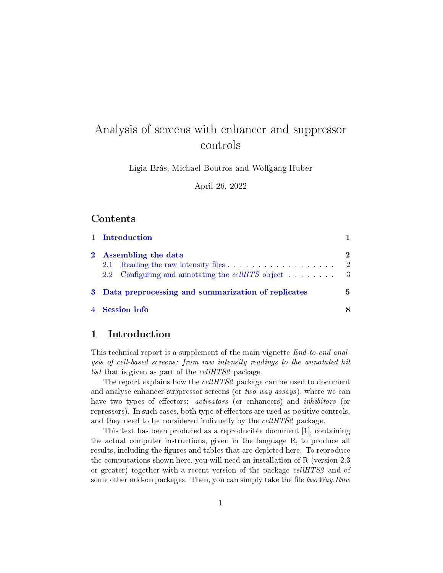# <span id="page-0-1"></span>Analysis of screens with enhancer and suppressor controls

Lígia Brás, Michael Boutros and Wolfgang Huber

April 26, 2022

### Contents

| 1 Introduction                                       |                     |
|------------------------------------------------------|---------------------|
| 2 Assembling the data<br>2.1                         | 2<br>$\overline{2}$ |
| 3 Data preprocessing and summarization of replicates | 5                   |
| 4 Session info                                       |                     |

### <span id="page-0-0"></span>1 Introduction

This technical report is a supplement of the main vignette End-to-end analysis of cell-based screens: from raw intensity readings to the annotated hit list that is given as part of the  $cellHTS2$  package.

The report explains how the cellHTS2 package can be used to document and analyse enhancer-suppressor screens (or  $two-way$  assays), where we can have two types of effectors: *activators* (or enhancers) and *inhibitors* (or repressors). In such cases, both type of effectors are used as positive controls, and they need to be considered indivually by the *cellHTS2* package.

This text has been produced as a reproducible document [\[1\]](#page-8-0), containing the actual computer instructions, given in the language R, to produce all results, including the figures and tables that are depicted here. To reproduce the computations shown here, you will need an installation of R (version 2.3 or greater) together with a recent version of the package cellHTS2 and of some other add-on packages. Then, you can simply take the file two Way. Rnw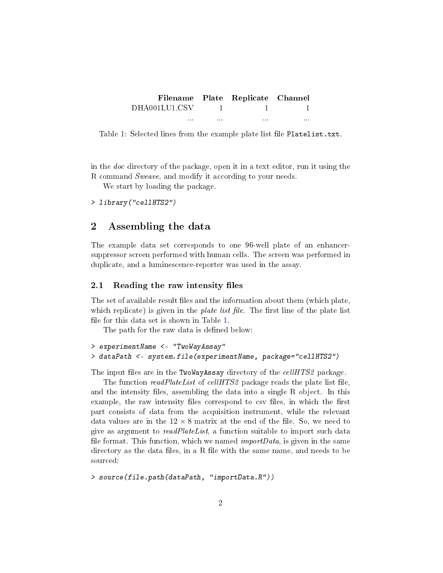<span id="page-1-2"></span>

|               |       | Filename Plate Replicate Channel |          |
|---------------|-------|----------------------------------|----------|
| DHA001LU1.CSV |       |                                  |          |
| $\cdots$      | 1.1.1 | $\cdots$                         | $\cdots$ |

Table 1: Selected lines from the example plate list file Platelist.txt.

in the doc directory of the package, open it in a text editor, run it using the R command Sweave, and modify it according to your needs.

We start by loading the package.

```
> library("cellHTS2")
```
### <span id="page-1-0"></span>2 Assembling the data

The example data set corresponds to one 96-well plate of an enhancersuppressor screen performed with human cells. The screen was performed in duplicate, and a luminescence-reporter was used in the assay.

#### <span id="page-1-1"></span>2.1 Reading the raw intensity files

The set of available result files and the information about them (which plate, which replicate) is given in the *plate list file*. The first line of the plate list file for this data set is shown in Table [1.](#page-1-2)

The path for the raw data is defined below:

```
> experimentName <- "TwoWayAssay"
> dataPath <- system.file(experimentName, package="cellHTS2")
```
The input files are in the TwoWayAssay directory of the cellHTS2 package.

The function *readPlateList* of *cellHTS2* package reads the plate list file, and the intensity files, assembling the data into a single R object. In this example, the raw intensity files correspond to csv files, in which the first part consists of data from the acquisition instrument, while the relevant data values are in the  $12 \times 8$  matrix at the end of the file. So, we need to give as argument to readPlateList, a function suitable to import such data file format. This function, which we named *importData*, is given in the same directory as the data files, in a R file with the same name, and needs to be sourced:

```
> source(file.path(dataPath, "importData.R"))
```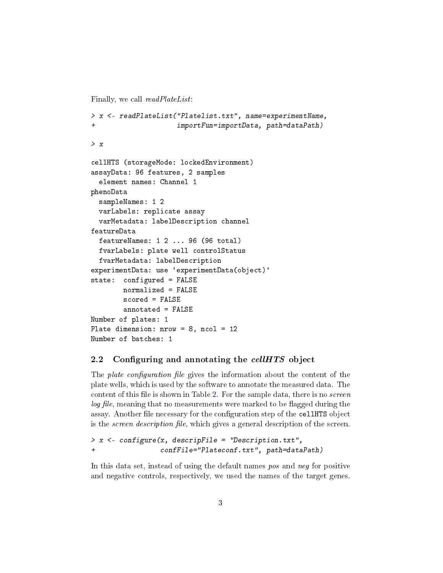Finally, we call  $readPlateList$ :

```
> x <- readPlateList("Platelist.txt", name=experimentName,
+ importFun=importData, path=dataPath)
> x
cellHTS (storageMode: lockedEnvironment)
assayData: 96 features, 2 samples
  element names: Channel 1
phenoData
  sampleNames: 1 2
 varLabels: replicate assay
  varMetadata: labelDescription channel
featureData
  featureNames: 1 2 ... 96 (96 total)
 fvarLabels: plate well controlStatus
  fvarMetadata: labelDescription
experimentData: use 'experimentData(object)'
state: configured = FALSE
       normalized = FALSE
       scored = FALSE
        annotated = FALSE
Number of plates: 1
Plate dimension: nrow = 8, ncol = 12Number of batches: 1
```
#### <span id="page-2-0"></span>2.2 Configuring and annotating the  $cellHTS$  object

The *plate configuration file* gives the information about the content of the plate wells, which is used by the software to annotate the measured data. The content of this file is shown in Table [2.](#page-3-0) For the sample data, there is no *screen* log file, meaning that no measurements were marked to be flagged during the assay. Another file necessary for the configuration step of the cellHTS object is the *screen description file*, which gives a general description of the screen.

```
> x <- configure(x, descripFile = "Description.txt",
                 + confFile="Plateconf.txt", path=dataPath)
```
In this data set, instead of using the default names pos and neg for positive and negative controls, respectively, we used the names of the target genes.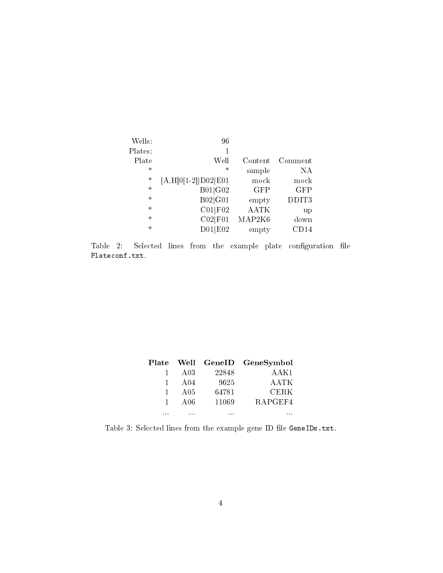| Wells:  | 96                      |             |            |
|---------|-------------------------|-------------|------------|
| Plates: | 1                       |             |            |
| Plate   | Well                    | Content     | Comment    |
| $\ast$  | $\ast$                  | sample      | NA         |
| $\ast$  | $[A, H] 0[1-2]$ D02 E01 | mock        | mock       |
| $\ast$  | B01 G02                 | <b>GFP</b>  | <b>GFP</b> |
| $\ast$  | B02 G01                 | empty       | DDIT3      |
| $\ast$  | CO1 F02                 | <b>AATK</b> | up         |
| $\ast$  | CO2 F01                 | MAP2K6      | down       |
| $\ast$  | D01 E02                 | empty       | CD14       |

<span id="page-3-0"></span>Table 2: Selected lines from the example plate configuration file Plateconf.txt.

| Plate    |                 |          | Well GeneID GeneSymbol |
|----------|-----------------|----------|------------------------|
| 1        | A <sub>03</sub> | 22848    | AAK1                   |
| 1        | A04             | 9625     | AATK                   |
| 1        | A05             | 64781    | <b>CERK</b>            |
| 1.       | A <sub>06</sub> | 11069    | RAPGEF4                |
| $\cdots$ | $\cdots$        | $\cdots$ |                        |

<span id="page-3-1"></span>Table 3: Selected lines from the example gene ID file  $GeneIDs.txt$ .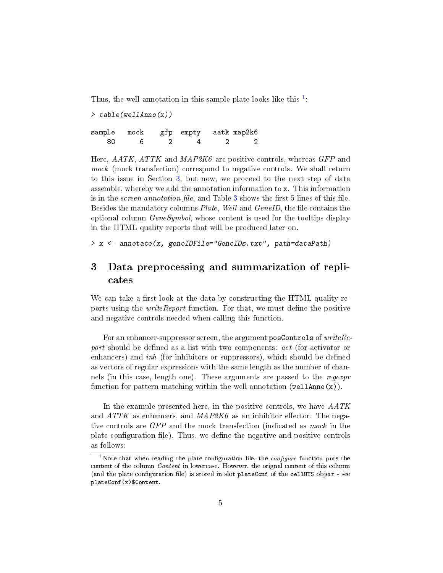Thus, the well annotation in this sample plate looks like this  $1$ :

> table(wellAnno(x)) sample mock gfp empty aatk map2k6 80 6 2 4 2 2

Here,  $AATK$ ,  $ATTK$  and  $MAP2K6$  are positive controls, whereas GFP and mock (mock transfection) correspond to negative controls. We shall return to this issue in Section [3,](#page-4-0) but now, we proceed to the next step of data assemble, whereby we add the annotation information to x. This information is in the *screen annotation file*, and Table [3](#page-3-1) shows the first 5 lines of this file. Besides the mandatory columns *Plate, Well* and *GeneID*, the file contains the optional column GeneSymbol, whose content is used for the tooltips display in the HTML quality reports that will be produced later on.

> x <- annotate(x, geneIDFile="GeneIDs.txt", path=dataPath)

## <span id="page-4-0"></span>3 Data preprocessing and summarization of replicates

We can take a first look at the data by constructing the HTML quality reports using the *writeReport* function. For that, we must define the positive and negative controls needed when calling this function.

For an enhancer-suppressor screen, the argument posControls of  $writeRe$ port should be defined as a list with two components: *act* (for activator or enhancers) and  $inh$  (for inhibitors or suppressors), which should be defined as vectors of regular expressions with the same length as the number of channels (in this case, length one). These arguments are passed to the regexpr function for pattern matching within the well annotation (wellAnno $(x)$ ).

In the example presented here, in the positive controls, we have  $AATK$ and  $ATTK$  as enhancers, and  $MAP2K6$  as an inhibitor effector. The negative controls are GFP and the mock transfection (indicated as mock in the plate configuration file). Thus, we define the negative and positive controls as follows:

<span id="page-4-1"></span><sup>&</sup>lt;sup>1</sup>Note that when reading the plate configuration file, the *configure* function puts the content of the column Content in lowercase. However, the orignal content of this column (and the plate configuration file) is stored in slot plateConf of the cellHTS object - see plateConf(x)\$Content.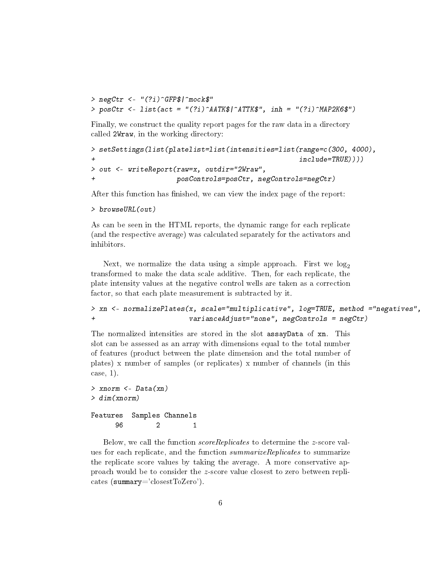```
> negCtr <- "(?i)^GFP$|^mock$"
> posCtr <- list(act = "(?i)^AATK$|^ATTK$", inh = "(?i)^MAP2K6$")
```
Finally, we construct the quality report pages for the raw data in a directory called 2Wraw, in the working directory:

```
> setSettings(list(platelist=list(intensities=list(range=c(300, 4000),
+ include=TRUE))))
> out <- writeReport(raw=x, outdir="2Wraw",
+ posControls=posCtr, negControls=negCtr)
```
After this function has finished, we can view the index page of the report:

```
> browseURL(out)
```
As can be seen in the HTML reports, the dynamic range for each replicate (and the respective average) was calculated separately for the activators and inhibitors.

Next, we normalize the data using a simple approach. First we  $log_2$ transformed to make the data scale additive. Then, for each replicate, the plate intensity values at the negative control wells are taken as a correction factor, so that each plate measurement is subtracted by it.

```
> xn <- normalizePlates(x, scale="multiplicative", log=TRUE, method ="negatives",
+ varianceAdjust="none", negControls = negCtr)
```
The normalized intensities are stored in the slot assayData of xn. This slot can be assessed as an array with dimensions equal to the total number of features (product between the plate dimension and the total number of plates) x number of samples (or replicates) x number of channels (in this case, 1).

```
> xnorm <- Data(xn)
> dim(xnorm)
Features Samples Channels
     96 2 1
```
Below, we call the function scoreReplicates to determine the z-score values for each replicate, and the function *summarizeReplicates* to summarize the replicate score values by taking the average. A more conservative approach would be to consider the z-score value closest to zero between replicates (summary='closestToZero').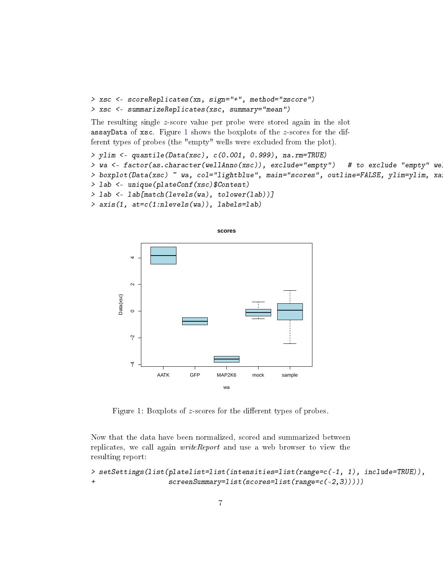```
> xsc <- scoreReplicates(xn, sign="+", method="zscore")
> xsc <- summarizeReplicates(xsc, summary="mean")
```
The resulting single z-score value per probe were stored again in the slot assayData of xsc. Figure [1](#page-6-0) shows the boxplots of the  $z$ -scores for the different types of probes (the "empty" wells were excluded from the plot).

```
> ylim <- quantile(Data(xsc), c(0.001, 0.999), na.rm=TRUE)
> wa <- factor(as.character(wellAnno(xsc)), exclude="empty") # to exclude "empty" we
> boxplot(Data(xsc) ~ wa, col="lightblue", main="scores", outline=FALSE, ylim=ylim, xa
> lab <- unique(plateConf(xsc)$Content)
> lab <- lab[match(levels(wa), tolower(lab))]
> axis(1, at=c(1:nlevels(wa)), labels=lab)
```


<span id="page-6-0"></span>Figure 1: Boxplots of  $z$ -scores for the different types of probes.

Now that the data have been normalized, scored and summarized between replicates, we call again *writeReport* and use a web browser to view the resulting report:

```
> setSettings(list(platelist=list(intensities=list(range=c(-1, 1), include=TRUE)),
+ screenSummary=list(scores=list(range=c(-2,3)))))
```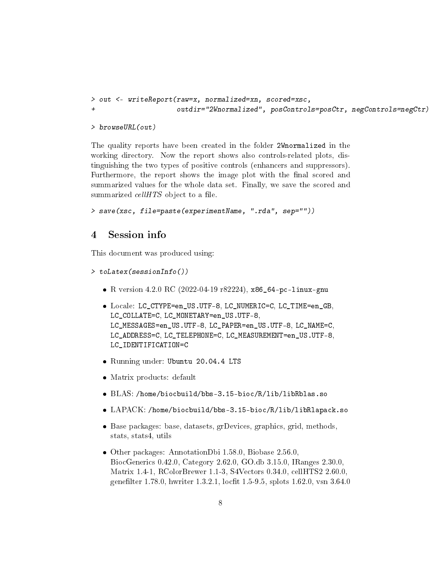```
> out <- writeReport(raw=x, normalized=xn, scored=xsc,
+ outdir="2Wnormalized", posControls=posCtr, negControls=negCtr)
```
> browseURL(out)

The quality reports have been created in the folder 2Wnormalized in the working directory. Now the report shows also controls-related plots, distinguishing the two types of positive controls (enhancers and suppressors). Furthermore, the report shows the image plot with the final scored and summarized values for the whole data set. Finally, we save the scored and summarized  $cellHTS$  object to a file.

```
> save(xsc, file=paste(experimentName, ".rda", sep=""))
```
### <span id="page-7-0"></span>4 Session info

This document was produced using:

```
> toLatex(sessionInfo())
```
- R version 4.2.0 RC (2022-04-19 r82224), x86\_64-pc-linux-gnu
- Locale: LC\_CTYPE=en\_US.UTF-8, LC\_NUMERIC=C, LC\_TIME=en\_GB, LC\_COLLATE=C, LC\_MONETARY=en\_US.UTF-8, LC\_MESSAGES=en\_US.UTF-8, LC\_PAPER=en\_US.UTF-8, LC\_NAME=C, LC\_ADDRESS=C, LC\_TELEPHONE=C, LC\_MEASUREMENT=en\_US.UTF-8, LC\_IDENTIFICATION=C
- Running under: Ubuntu 20.04.4 LTS
- Matrix products: default
- BLAS: /home/biocbuild/bbs-3.15-bioc/R/lib/libRblas.so
- LAPACK: /home/biocbuild/bbs-3.15-bioc/R/lib/libRlapack.so
- Base packages: base, datasets, grDevices, graphics, grid, methods, stats, stats4, utils
- Other packages: AnnotationDbi 1.58.0, Biobase 2.56.0, BiocGenerics 0.42.0, Category 2.62.0, GO.db 3.15.0, IRanges 2.30.0, Matrix 1.4-1, RColorBrewer 1.1-3, S4Vectors 0.34.0, cellHTS2 2.60.0, genefilter 1.78.0, hwriter 1.3.2.1, locfit 1.5-9.5, splots 1.62.0, vsn 3.64.0